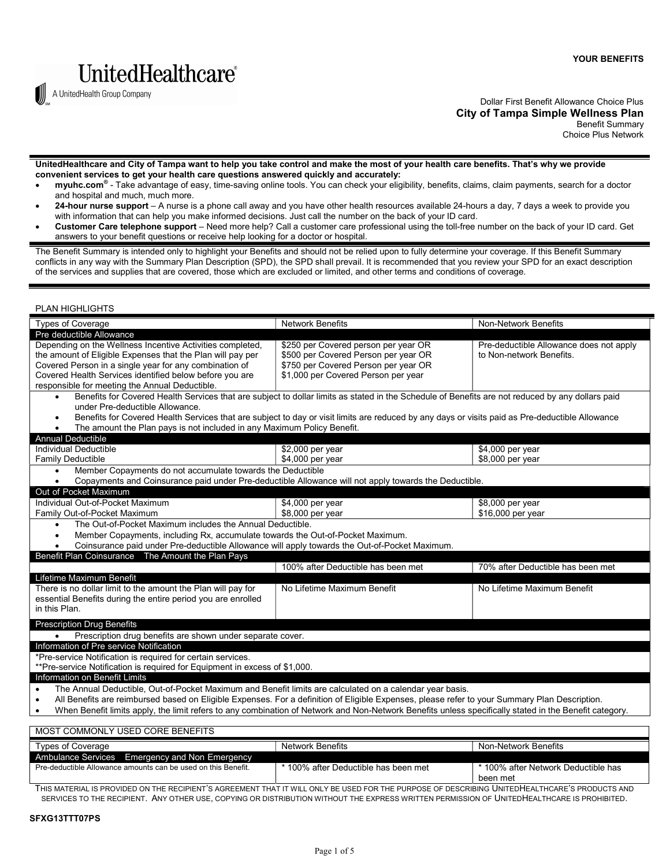



A UnitedHealth Group Company

 UnitedHealthcare and City of Tampa want to help you take control and make the most of your health care benefits. That's why we provide convenient services to get your health care questions answered quickly and accurately:

- myuhc.com<sup>®</sup> Take advantage of easy, time-saving online tools. You can check your eligibility, benefits, claims, claim payments, search for a doctor and hospital and much, much more.
- 24-hour nurse support A nurse is a phone call away and you have other health resources available 24-hours a day, 7 days a week to provide you with information that can help you make informed decisions. Just call the number on the back of your ID card.
- Customer Care telephone support Need more help? Call a customer care professional using the toll-free number on the back of your ID card. Get answers to your benefit questions or receive help looking for a doctor or hospital.

 The Benefit Summary is intended only to highlight your Benefits and should not be relied upon to fully determine your coverage. If this Benefit Summary conflicts in any way with the Summary Plan Description (SPD), the SPD shall prevail. It is recommended that you review your SPD for an exact description of the services and supplies that are covered, those which are excluded or limited, and other terms and conditions of coverage.

## PLAN HIGHLIGHTS

| <b>Types of Coverage</b>                                                                                                                               | <b>Network Benefits</b>              | Non-Network Benefits                    |  |  |
|--------------------------------------------------------------------------------------------------------------------------------------------------------|--------------------------------------|-----------------------------------------|--|--|
| Pre deductible Allowance                                                                                                                               |                                      |                                         |  |  |
| Depending on the Wellness Incentive Activities completed,                                                                                              | \$250 per Covered person per year OR | Pre-deductible Allowance does not apply |  |  |
| the amount of Eligible Expenses that the Plan will pay per                                                                                             | \$500 per Covered Person per year OR | to Non-network Benefits.                |  |  |
| Covered Person in a single year for any combination of                                                                                                 | \$750 per Covered Person per year OR |                                         |  |  |
| Covered Health Services identified below before you are                                                                                                | \$1,000 per Covered Person per year  |                                         |  |  |
| responsible for meeting the Annual Deductible.                                                                                                         |                                      |                                         |  |  |
| Benefits for Covered Health Services that are subject to dollar limits as stated in the Schedule of Benefits are not reduced by any dollars paid       |                                      |                                         |  |  |
| under Pre-deductible Allowance.                                                                                                                        |                                      |                                         |  |  |
| Benefits for Covered Health Services that are subject to day or visit limits are reduced by any days or visits paid as Pre-deductible Allowance        |                                      |                                         |  |  |
| The amount the Plan pays is not included in any Maximum Policy Benefit.                                                                                |                                      |                                         |  |  |
| <b>Annual Deductible</b>                                                                                                                               |                                      |                                         |  |  |
| Individual Deductible                                                                                                                                  | \$2,000 per year                     | \$4,000 per year                        |  |  |
| <b>Family Deductible</b>                                                                                                                               | \$4,000 per year                     | \$8,000 per year                        |  |  |
| Member Copayments do not accumulate towards the Deductible                                                                                             |                                      |                                         |  |  |
| Copayments and Coinsurance paid under Pre-deductible Allowance will not apply towards the Deductible.                                                  |                                      |                                         |  |  |
| Out of Pocket Maximum                                                                                                                                  |                                      |                                         |  |  |
| Individual Out-of-Pocket Maximum                                                                                                                       | \$4,000 per year                     | \$8,000 per year                        |  |  |
| Family Out-of-Pocket Maximum                                                                                                                           | \$8,000 per year                     | \$16,000 per year                       |  |  |
| The Out-of-Pocket Maximum includes the Annual Deductible.                                                                                              |                                      |                                         |  |  |
| Member Copayments, including Rx, accumulate towards the Out-of-Pocket Maximum.                                                                         |                                      |                                         |  |  |
| Coinsurance paid under Pre-deductible Allowance will apply towards the Out-of-Pocket Maximum.                                                          |                                      |                                         |  |  |
| Benefit Plan Coinsurance The Amount the Plan Pays                                                                                                      |                                      |                                         |  |  |
|                                                                                                                                                        | 100% after Deductible has been met   | 70% after Deductible has been met       |  |  |
| Lifetime Maximum Benefit                                                                                                                               |                                      |                                         |  |  |
| There is no dollar limit to the amount the Plan will pay for                                                                                           | No Lifetime Maximum Benefit          | No Lifetime Maximum Benefit             |  |  |
| essential Benefits during the entire period you are enrolled                                                                                           |                                      |                                         |  |  |
| in this Plan.                                                                                                                                          |                                      |                                         |  |  |
|                                                                                                                                                        |                                      |                                         |  |  |
| <b>Prescription Drug Benefits</b>                                                                                                                      |                                      |                                         |  |  |
| Prescription drug benefits are shown under separate cover.                                                                                             |                                      |                                         |  |  |
| Information of Pre service Notification                                                                                                                |                                      |                                         |  |  |
| *Pre-service Notification is required for certain services.                                                                                            |                                      |                                         |  |  |
| **Pre-service Notification is required for Equipment in excess of \$1,000.                                                                             |                                      |                                         |  |  |
| Information on Benefit Limits                                                                                                                          |                                      |                                         |  |  |
| The Annual Deductible, Out-of-Pocket Maximum and Benefit limits are calculated on a calendar year basis.                                               |                                      |                                         |  |  |
| All Benefits are reimbursed based on Eligible Expenses. For a definition of Eligible Expenses, please refer to your Summary Plan Description.          |                                      |                                         |  |  |
| When Benefit limits apply, the limit refers to any combination of Network and Non-Network Benefits unless specifically stated in the Benefit category. |                                      |                                         |  |  |

## MOST COMMONLY USED CORE BENEFITS **Types of Coverage** Ambulance Services Emergency and Non Emergency Pre-deductible Allowance amounts can be used on this Benefit. \* 100% after Deductible has been met \* 100% after Network Deductible has been met Network Benefits Non-Network Benefits

 THIS MATERIAL IS PROVIDED ON THE RECIPIENT'S AGREEMENT THAT IT WILL ONLY BE USED FOR THE PURPOSE OF DESCRIBING UNITEDHEALTHCARE'S PRODUCTS AND SERVICES TO THE RECIPIENT. ANY OTHER USE, COPYING OR DISTRIBUTION WITHOUT THE EXPRESS WRITTEN PERMISSION OF UNITEDHEALTHCARE IS PROHIBITED.

# SFXG13TTT07PS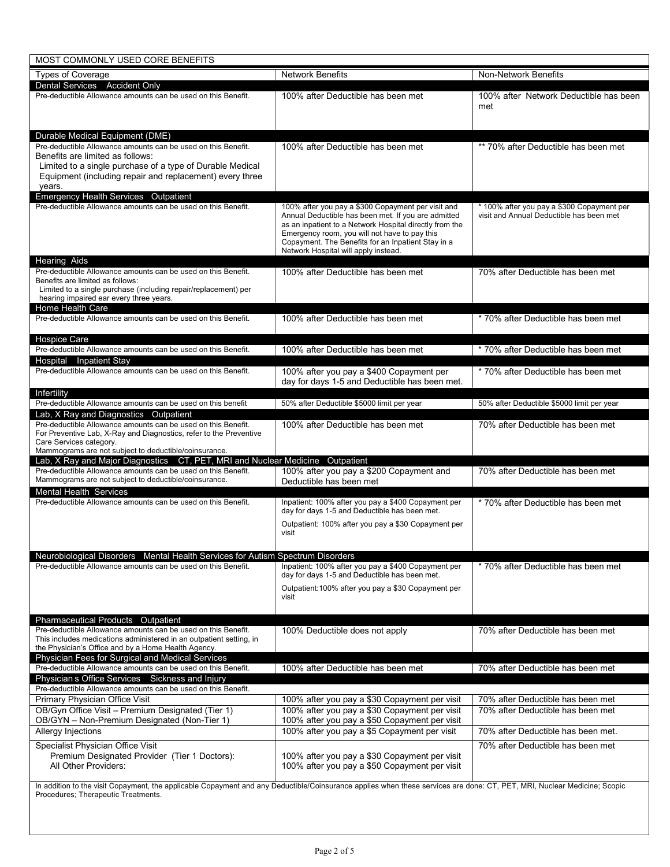| MOST COMMONLY USED CORE BENEFITS                                                                                                                                                                                                                                        |                                                                                                                                                                                                                                                                                                                     |                                                                                                              |  |
|-------------------------------------------------------------------------------------------------------------------------------------------------------------------------------------------------------------------------------------------------------------------------|---------------------------------------------------------------------------------------------------------------------------------------------------------------------------------------------------------------------------------------------------------------------------------------------------------------------|--------------------------------------------------------------------------------------------------------------|--|
| <b>Types of Coverage</b>                                                                                                                                                                                                                                                | <b>Network Benefits</b>                                                                                                                                                                                                                                                                                             | Non-Network Benefits                                                                                         |  |
| Dental Services Accident Only<br>Pre-deductible Allowance amounts can be used on this Benefit.                                                                                                                                                                          | 100% after Deductible has been met                                                                                                                                                                                                                                                                                  | 100% after Network Deductible has been<br>met                                                                |  |
| Durable Medical Equipment (DME)<br>Pre-deductible Allowance amounts can be used on this Benefit.<br>Benefits are limited as follows:<br>Limited to a single purchase of a type of Durable Medical<br>Equipment (including repair and replacement) every three<br>years. | 100% after Deductible has been met                                                                                                                                                                                                                                                                                  | ** 70% after Deductible has been met                                                                         |  |
| Emergency Health Services Outpatient<br>Pre-deductible Allowance amounts can be used on this Benefit.                                                                                                                                                                   | 100% after you pay a \$300 Copayment per visit and<br>Annual Deductible has been met. If you are admitted<br>as an inpatient to a Network Hospital directly from the<br>Emergency room, you will not have to pay this<br>Copayment. The Benefits for an Inpatient Stay in a<br>Network Hospital will apply instead. | * 100% after you pay a \$300 Copayment per<br>visit and Annual Deductible has been met                       |  |
| <b>Hearing Aids</b><br>Pre-deductible Allowance amounts can be used on this Benefit.<br>Benefits are limited as follows:<br>Limited to a single purchase (including repair/replacement) per<br>hearing impaired ear every three years.                                  | 100% after Deductible has been met                                                                                                                                                                                                                                                                                  | 70% after Deductible has been met                                                                            |  |
| Home Health Care<br>Pre-deductible Allowance amounts can be used on this Benefit.                                                                                                                                                                                       | 100% after Deductible has been met                                                                                                                                                                                                                                                                                  | * 70% after Deductible has been met                                                                          |  |
| <b>Hospice Care</b><br>Pre-deductible Allowance amounts can be used on this Benefit.                                                                                                                                                                                    | 100% after Deductible has been met                                                                                                                                                                                                                                                                                  | * 70% after Deductible has been met                                                                          |  |
| Hospital Inpatient Stay<br>Pre-deductible Allowance amounts can be used on this Benefit.                                                                                                                                                                                | 100% after you pay a \$400 Copayment per<br>day for days 1-5 and Deductible has been met.                                                                                                                                                                                                                           | * 70% after Deductible has been met                                                                          |  |
| Infertility<br>Pre-deductible Allowance amounts can be used on this benefit<br>Lab, X Ray and Diagnostics Outpatient                                                                                                                                                    | 50% after Deductible \$5000 limit per year                                                                                                                                                                                                                                                                          | 50% after Deductible \$5000 limit per year                                                                   |  |
| Pre-deductible Allowance amounts can be used on this Benefit.<br>For Preventive Lab, X-Ray and Diagnostics, refer to the Preventive<br>Care Services category.<br>Mammograms are not subject to deductible/coinsurance.                                                 | 100% after Deductible has been met                                                                                                                                                                                                                                                                                  | 70% after Deductible has been met                                                                            |  |
| Lab, X Ray and Major Diagnostics CT, PET, MRI and Nuclear Medicine Outpatient<br>Pre-deductible Allowance amounts can be used on this Benefit.<br>Mammograms are not subject to deductible/coinsurance.                                                                 | 100% after you pay a \$200 Copayment and<br>Deductible has been met                                                                                                                                                                                                                                                 | 70% after Deductible has been met                                                                            |  |
| <b>Mental Health Services</b><br>Pre-deductible Allowance amounts can be used on this Benefit.                                                                                                                                                                          | Inpatient: 100% after you pay a \$400 Copayment per<br>day for days 1-5 and Deductible has been met.<br>Outpatient: 100% after you pay a \$30 Copayment per<br>visit                                                                                                                                                | * 70% after Deductible has been met                                                                          |  |
| Neurobiological Disorders Mental Health Services for Autism Spectrum Disorders<br>Pre-deductible Allowance amounts can be used on this Benefit.                                                                                                                         | Inpatient: 100% after you pay a \$400 Copayment per<br>day for days 1-5 and Deductible has been met.<br>Outpatient: 100% after you pay a \$30 Copayment per<br>visit                                                                                                                                                | * 70% after Deductible has been met                                                                          |  |
| <b>Pharmaceutical Products Outpatient</b><br>Pre-deductible Allowance amounts can be used on this Benefit.<br>This includes medications administered in an outpatient setting, in<br>the Physician's Office and by a Home Health Agency.                                | 100% Deductible does not apply                                                                                                                                                                                                                                                                                      | 70% after Deductible has been met                                                                            |  |
| Physician Fees for Surgical and Medical Services<br>Pre-deductible Allowance amounts can be used on this Benefit.<br>Physician s Office Services Sickness and Injury                                                                                                    | 100% after Deductible has been met                                                                                                                                                                                                                                                                                  | 70% after Deductible has been met                                                                            |  |
| Pre-deductible Allowance amounts can be used on this Benefit.                                                                                                                                                                                                           |                                                                                                                                                                                                                                                                                                                     |                                                                                                              |  |
| Primary Physician Office Visit<br>OB/Gyn Office Visit - Premium Designated (Tier 1)<br>OB/GYN - Non-Premium Designated (Non-Tier 1)<br>Allergy Injections                                                                                                               | 100% after you pay a \$30 Copayment per visit<br>100% after you pay a \$30 Copayment per visit<br>100% after you pay a \$50 Copayment per visit<br>100% after you pay a \$5 Copayment per visit                                                                                                                     | 70% after Deductible has been met<br>70% after Deductible has been met<br>70% after Deductible has been met. |  |
| Specialist Physician Office Visit<br>Premium Designated Provider (Tier 1 Doctors):<br>All Other Providers:                                                                                                                                                              | 100% after you pay a \$30 Copayment per visit<br>100% after you pay a \$50 Copayment per visit                                                                                                                                                                                                                      | 70% after Deductible has been met                                                                            |  |
| In addition to the visit Copayment, the applicable Copayment and any Deductible/Coinsurance applies when these services are done: CT, PET, MRI, Nuclear Medicine; Scopic<br>Procedures; Therapeutic Treatments.                                                         |                                                                                                                                                                                                                                                                                                                     |                                                                                                              |  |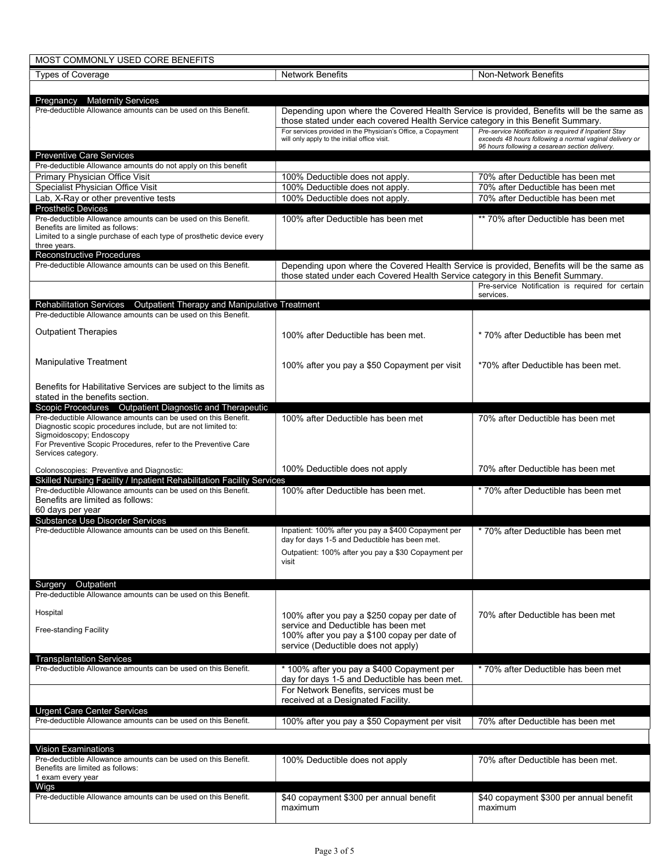| MOST COMMONLY USED CORE BENEFITS                                                                                                       |                                                                                                                                                                               |                                                                                                            |  |  |
|----------------------------------------------------------------------------------------------------------------------------------------|-------------------------------------------------------------------------------------------------------------------------------------------------------------------------------|------------------------------------------------------------------------------------------------------------|--|--|
| <b>Types of Coverage</b>                                                                                                               | <b>Network Benefits</b>                                                                                                                                                       | Non-Network Benefits                                                                                       |  |  |
|                                                                                                                                        |                                                                                                                                                                               |                                                                                                            |  |  |
| Pregnancy Maternity Services                                                                                                           |                                                                                                                                                                               |                                                                                                            |  |  |
| Pre-deductible Allowance amounts can be used on this Benefit.                                                                          | Depending upon where the Covered Health Service is provided, Benefits will be the same as<br>those stated under each covered Health Service category in this Benefit Summary. |                                                                                                            |  |  |
|                                                                                                                                        | For services provided in the Physician's Office, a Copayment                                                                                                                  | Pre-service Notification is required if Inpatient Stay                                                     |  |  |
|                                                                                                                                        | will only apply to the initial office visit.                                                                                                                                  | exceeds 48 hours following a normal vaginal delivery or<br>96 hours following a cesarean section delivery. |  |  |
| <b>Preventive Care Services</b>                                                                                                        |                                                                                                                                                                               |                                                                                                            |  |  |
| Pre-deductible Allowance amounts do not apply on this benefit                                                                          |                                                                                                                                                                               |                                                                                                            |  |  |
| Primary Physician Office Visit<br>Specialist Physician Office Visit                                                                    | 100% Deductible does not apply.<br>100% Deductible does not apply.                                                                                                            | 70% after Deductible has been met<br>70% after Deductible has been met                                     |  |  |
| Lab, X-Ray or other preventive tests                                                                                                   | 100% Deductible does not apply.                                                                                                                                               | 70% after Deductible has been met                                                                          |  |  |
| <b>Prosthetic Devices</b>                                                                                                              |                                                                                                                                                                               |                                                                                                            |  |  |
| Pre-deductible Allowance amounts can be used on this Benefit.<br>Benefits are limited as follows:                                      | 100% after Deductible has been met                                                                                                                                            | ** 70% after Deductible has been met                                                                       |  |  |
| Limited to a single purchase of each type of prosthetic device every                                                                   |                                                                                                                                                                               |                                                                                                            |  |  |
| three years.                                                                                                                           |                                                                                                                                                                               |                                                                                                            |  |  |
| <b>Reconstructive Procedures</b><br>Pre-deductible Allowance amounts can be used on this Benefit.                                      | Depending upon where the Covered Health Service is provided, Benefits will be the same as                                                                                     |                                                                                                            |  |  |
|                                                                                                                                        | those stated under each Covered Health Service category in this Benefit Summary.                                                                                              |                                                                                                            |  |  |
|                                                                                                                                        |                                                                                                                                                                               | Pre-service Notification is required for certain                                                           |  |  |
| <b>Rehabilitation Services</b><br>Outpatient Therapy and Manipulative Treatment                                                        |                                                                                                                                                                               | services.                                                                                                  |  |  |
| Pre-deductible Allowance amounts can be used on this Benefit.                                                                          |                                                                                                                                                                               |                                                                                                            |  |  |
| <b>Outpatient Therapies</b>                                                                                                            |                                                                                                                                                                               |                                                                                                            |  |  |
|                                                                                                                                        | 100% after Deductible has been met.                                                                                                                                           | * 70% after Deductible has been met                                                                        |  |  |
|                                                                                                                                        |                                                                                                                                                                               |                                                                                                            |  |  |
| Manipulative Treatment                                                                                                                 | 100% after you pay a \$50 Copayment per visit                                                                                                                                 | *70% after Deductible has been met.                                                                        |  |  |
|                                                                                                                                        |                                                                                                                                                                               |                                                                                                            |  |  |
| Benefits for Habilitative Services are subject to the limits as<br>stated in the benefits section.                                     |                                                                                                                                                                               |                                                                                                            |  |  |
| Scopic Procedures  Outpatient Diagnostic and Therapeutic                                                                               |                                                                                                                                                                               |                                                                                                            |  |  |
| Pre-deductible Allowance amounts can be used on this Benefit.                                                                          | 100% after Deductible has been met                                                                                                                                            | 70% after Deductible has been met                                                                          |  |  |
| Diagnostic scopic procedures include, but are not limited to:<br>Sigmoidoscopy; Endoscopy                                              |                                                                                                                                                                               |                                                                                                            |  |  |
| For Preventive Scopic Procedures, refer to the Preventive Care                                                                         |                                                                                                                                                                               |                                                                                                            |  |  |
| Services category.                                                                                                                     |                                                                                                                                                                               |                                                                                                            |  |  |
| Colonoscopies: Preventive and Diagnostic:                                                                                              | 100% Deductible does not apply                                                                                                                                                | 70% after Deductible has been met                                                                          |  |  |
| Skilled Nursing Facility / Inpatient Rehabilitation Facility Services<br>Pre-deductible Allowance amounts can be used on this Benefit. | 100% after Deductible has been met.                                                                                                                                           | * 70% after Deductible has been met                                                                        |  |  |
| Benefits are limited as follows:                                                                                                       |                                                                                                                                                                               |                                                                                                            |  |  |
| 60 days per year                                                                                                                       |                                                                                                                                                                               |                                                                                                            |  |  |
| <b>Substance Use Disorder Services</b><br>Pre-deductible Allowance amounts can be used on this Benefit.                                | Inpatient: 100% after you pay a \$400 Copayment per                                                                                                                           |                                                                                                            |  |  |
|                                                                                                                                        | day for days 1-5 and Deductible has been met.                                                                                                                                 | * 70% after Deductible has been met                                                                        |  |  |
|                                                                                                                                        | Outpatient: 100% after you pay a \$30 Copayment per                                                                                                                           |                                                                                                            |  |  |
|                                                                                                                                        | visit                                                                                                                                                                         |                                                                                                            |  |  |
|                                                                                                                                        |                                                                                                                                                                               |                                                                                                            |  |  |
| Surgery Outpatient<br>Pre-deductible Allowance amounts can be used on this Benefit.                                                    |                                                                                                                                                                               |                                                                                                            |  |  |
|                                                                                                                                        |                                                                                                                                                                               |                                                                                                            |  |  |
| Hospital                                                                                                                               | 100% after you pay a \$250 copay per date of                                                                                                                                  | 70% after Deductible has been met                                                                          |  |  |
| Free-standing Facility                                                                                                                 | service and Deductible has been met<br>100% after you pay a \$100 copay per date of                                                                                           |                                                                                                            |  |  |
|                                                                                                                                        | service (Deductible does not apply)                                                                                                                                           |                                                                                                            |  |  |
| <b>Transplantation Services</b>                                                                                                        |                                                                                                                                                                               |                                                                                                            |  |  |
| Pre-deductible Allowance amounts can be used on this Benefit.                                                                          | * 100% after you pay a \$400 Copayment per                                                                                                                                    | * 70% after Deductible has been met                                                                        |  |  |
|                                                                                                                                        | day for days 1-5 and Deductible has been met.                                                                                                                                 |                                                                                                            |  |  |
|                                                                                                                                        | For Network Benefits, services must be<br>received at a Designated Facility.                                                                                                  |                                                                                                            |  |  |
| <b>Urgent Care Center Services</b>                                                                                                     |                                                                                                                                                                               |                                                                                                            |  |  |
| Pre-deductible Allowance amounts can be used on this Benefit.                                                                          | 100% after you pay a \$50 Copayment per visit                                                                                                                                 | 70% after Deductible has been met                                                                          |  |  |
|                                                                                                                                        |                                                                                                                                                                               |                                                                                                            |  |  |
| <b>Vision Examinations</b>                                                                                                             |                                                                                                                                                                               |                                                                                                            |  |  |
| Pre-deductible Allowance amounts can be used on this Benefit.<br>Benefits are limited as follows:                                      | 100% Deductible does not apply                                                                                                                                                | 70% after Deductible has been met.                                                                         |  |  |
| 1 exam every year                                                                                                                      |                                                                                                                                                                               |                                                                                                            |  |  |
| Wigs                                                                                                                                   |                                                                                                                                                                               |                                                                                                            |  |  |
| Pre-deductible Allowance amounts can be used on this Benefit.                                                                          | \$40 copayment \$300 per annual benefit<br>maximum                                                                                                                            | \$40 copayment \$300 per annual benefit<br>maximum                                                         |  |  |
|                                                                                                                                        |                                                                                                                                                                               |                                                                                                            |  |  |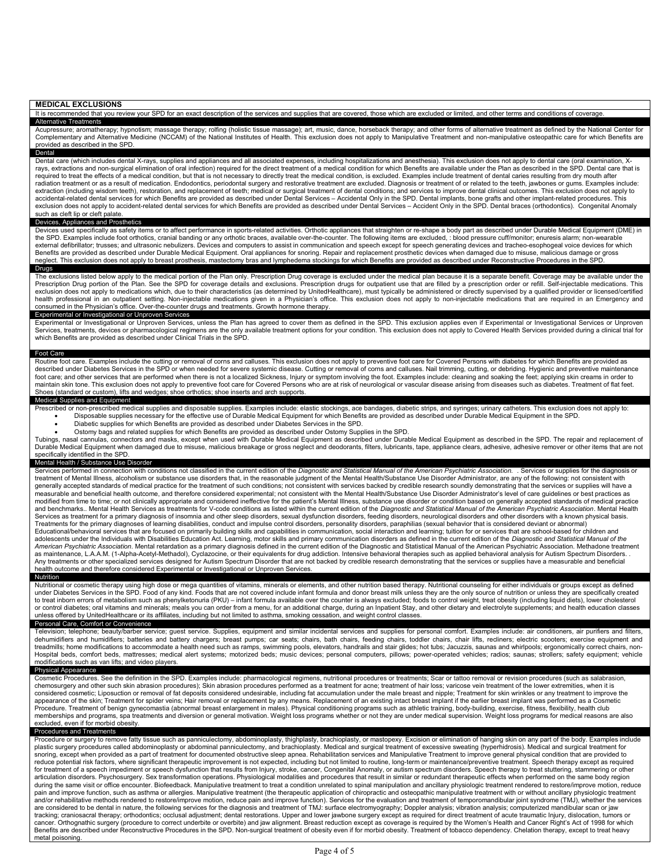#### MEDICAL EXCLUSIONS

It is recommended that you review your SPD for an exact description of the services and supplies that are covered, those which are excluded or limited, and other terms and conditions of coverage. Alternative Treatments

Acupressure; aromatherapy; hypnotism; massage therapy; rolfing (holistic tissue massage); art, music, dance, horseback therapy; and other forms of alternative treatment as defined by the National Center for<br>Complementary a provided as described in the SPD. Dental

 Dental care (which includes dental X-rays, supplies and appliances and all associated expenses, including hospitalizations and anesthesia). This exclusion does not apply to dental care (oral examination, X- rays, extractions and non-surgical elimination of oral infection) required for the direct treatment of a medical condition for which Benefits are available under the Plan as described in the SPD. Dental care that is required to treat the effects of a medical condition, but that is not necessary to directly treat the medical condition, is excluded. Examples include treatment of dental caries resulting from dry mouth after radiation treatment or as a result of medication. Endodontics, periodontal surgery and restorative treatment are excluded. Diagnosis or treatment of or related to the teeth, jawbones or gums. Examples include:<br>extraction ( accidental-related dental services for which Benefits are provided as described under Dental Services – Accidental Only in the SPD. Dental implants, bone grafts and other implant-related procedures. This<br>exclusion does not such as cleft lip or cleft palate.

#### Devices, Appliances and Prosthetics

Devices used specifically as safety items or to affect performance in sports-related activities. Orthotic appliances that straighten or re-shape a body part as described under Durable Medical Equipment (DME) in<br>the SPD. Ex external defibrillator; trusses; and ultrasonic nebulizers. Devices and computers to assist in communication and speech except for speech generating devices and tracheo-esophogeal voice devices for which Benefits are provided as described under Durable Medical Equipment. Oral appliances for snoring. Repair and replacement prosthetic devices when damaged due to misuse, malicious damage or gross<br>neglect. This exclusion does Drugs

 The exclusions listed below apply to the medical portion of the Plan only. Prescription Drug coverage is excluded under the medical plan because it is a separate benefit. Coverage may be available under the Prescription Drug portion of the Plan. See the SPD for coverage details and exclusions. Prescription drugs for outpatient use that are filled by a prescription order or refill. Self-injectable medications. This exclusion does not apply to medications which, due to their characteristics (as determined by UnitedHealthcare), must typically be administered or directly supervised by a qualified provider or licensed/certified health professional in an outpatient setting. Non-injectable medications given in a Physician's office. This exclusion does not apply to non-injectable medications that are required in an Emergency and consumed in the Physician's office. Over-the-counter drugs and treatments. Growth hormone therapy.

### Experimental or Investigational or Unproven Services

Experimental or Investigational or Unproven Services, unless the Plan has agreed to cover them as defined in the SPD. This exclusion applies even if Experimental or Investigational Services or Unproven<br>Services, treatments which Benefits are provided as described under Clinical Trials in the SPD.

#### Foot Care

Routine foot care. Examples include the cutting or removal of corns and calluses. This exclusion does not apply to preventive foot care for Covered Persons with diabetes for which Benefits are provided as described under Diabetes Services in the SPD or when needed for severe systemic disease. Cutting or removal of corns and calluses. Nail trimming, cutting, or debriding. Hygienic and preventive maintenance foot care; and other services that are performed when there is not a localized Sickness, Injury or symptom involving the foot. Examples include: cleaning and soaking the feet; applying skin creams in order to<br>maintain skin Shoes (standard or custom), lifts and wedges; shoe orthotics; shoe inserts and arch supports.

#### Medical Supplies and Equipment

- Prescribed or non-prescribed medical supplies and disposable supplies. Examples include: elastic stockings, ace bandages, diabetic strips, and syringes; urinary catheters. This exclusion does not apply to: Disposable supplies necessary for the effective use of Durable Medical Equipment for which Benefits are provided as described under Durable Medical Equipment in the SPD.
	- Diabetic supplies for which Benefits are provided as described under Diabetes Services in the SPD.
- 

● Ostomy bags and related supplies for which Benefits are provided as described under Ostomy Supplies in the SPD.<br>Tubings, nasal cannulas, connectors and masks, except when used with Durable Medical Equipment as described Durable Medical Equipment when damaged due to misuse, malicious breakage or gross neglect and deodorants, filters, lubricants, tape, appliance clears, adhesive, adhesive remover or other items that are not specifically identified in the SPD.

### Mental Health / Substance Use Disorder

Services performed in connection with conditions not classified in the current edition of the Diagnostic and Statistical Manual of the American Psychiatric Association. . Services or supplies for the diagnosis or treatment of Mental Illness, alcoholism or substance use disorders that, in the reasonable judgment of the Mental Health/Substance Use Disorder Administrator, are any of the following: not consistent with<br>generally accepte measurable and beneficial health outcome, and therefore considered experimental; not consistent with the Mental Health/Substance Use Disorder Administrator's level of care guidelines or best practices as<br>modified from time and benchmarks.. Mental Health Services as treatments for V-code conditions as listed within the current edition of the Diagnostic and Statistical Manual of the American Psychiatric Association. Mental Health Services as treatment for a primary diagnosis of insomnia and other sleep disorders, sexual dysfunction disorders, feeding disorders, neurological disorders and other disorders with a known physical basis.<br>Treatments for t Educational/behavioral services that are focused on primarily building skills and capabilities in communication, social interaction and learning; tuition for or services that are school-based for children and adolescents under the Individuals with Disabilities Education Act. Learning, motor skills and primary communication disorders as defined in the current edition of the Diagnostic and Statistical Manual of the Dispostic and as maintenance, L.A.A.M. (1-Alpha-Acetyl-Methadol), Cyclazocine, or their equivalents for drug addiction. Intensive behavioral therapies such as applied behavioral analysis for Autism Spectrum Disorders. .<br>Any treatments o

#### health outcome and therefore considered Experimental or Investigational or Unproven Services. Nutrition

Nutritional or cosmetic therapy using high dose or mega quantities of vitamins, minerals or elements, and other nutrition based therapy. Nutritional counseling for either individuals or groups except as defined<br>under Diabe to treat inborn errors of metabolism such as phenylketonuria (PKU) – infant formula available over the counter is always excluded; foods to control weight, treat obesity (including liquid diets), lower cholesterol or control diabetes; oral vitamins and minerals; meals you can order from a menu, for an additional charge, during an Inpatient Stay, and other dietary and electrolyte supplements; and health education classes unless offered by UnitedHealthcare or its affiliates, including but not limited to asthma, smoking cessation, and weight control classes.

## Personal Care, Comfort or Convenience

Television; telephone; beauty/barber service; guest service. Supplies, equipment and similar incidental services and supplies for personal comfort. Examples include: air conditioners, air purifiers and filters,<br>dehumidifie treadmills; home modifications to accommodate a health need such as ramps, swimming pools, elevators, handrails and stair glides; hot tubs; Jacuzzis, saunas and whirlpools; ergonomically correct chairs, non-Hospital beds, comfort beds, mattresses; medical alert systems; motorized beds; music devices; personal computers, pillows; power-operated vehicles; radios; saunas; strollers; safety equipment; vehicle modifications such as van lifts; and video players.

## Physical Appearance

 Cosmetic Procedures. See the definition in the SPD. Examples include: pharmacological regimens, nutritional procedures or treatments; Scar or tattoo removal or revision procedures (such as salabrasion, chemosurgery and other such skin abrasion procedures); Skin abrasion procedures performed as a treatment for acne; treatment of hair loss; varicose vein treatment of the lower extremities, when it is considered cosmetic; Liposuction or removal of fat deposits considered undesirable, including fat accumulation under the male breast and nipple; Treatment for skin wrinkles or any treatment to improve the appearance of the skin; Treatment for spider veins; Hair removal or replacement by any means. Replacement of an existing intact breast implant if the earlier breast implant was performed as a Cosmetic<br>Procedure. Treatment memberships and programs, spa treatments and diversion or general motivation. Weight loss programs whether or not they are under medical supervision. Weight loss programs for medical reasons are also excluded, even if for morbid obesity.

### Procedures and Treatments

 Procedure or surgery to remove fatty tissue such as panniculectomy, abdominoplasty, thighplasty, brachioplasty, or mastopexy. Excision or elimination of hanging skin on any part of the body. Examples include plastic surgery procedures called abdominoplasty or abdominal panniculectomy, and brachioplasty. Medical and surgical treatment of excessive sweating (hyperhidrosis). Medical and surgical treatment for<br>snoring, except when reduce potential risk factors, where significant therapeutic improvement is not expected, including but not limited to routine, long-term or maintenance/preventive treatment. Speech therapy except as required<br>for treatment articulation disorders. Psychosurgery. Sex transformation operations. Physiological modalities and procedures that result in similar or redundant therapeutic effects when performed on the same body region during the same visit or office encounter. Biofeedback. Manipulative treatment to treat a condition unrelated to spinal manipulation and ancillary physiologic treatment rendered to restore/improve motion, reduce<br>pain and i and/or rehabilitative methods rendered to restore/improve motion, reduce pain and improve function). Services for the evaluation and treatment of temporomandibular joint syndrome (TMJ), whether the services<br>are considered tracking; craniosacral therapy; orthodontics; occlusal adjustment; dental restorations. Upper and lower jawbone surgery except as required for direct treatment of acute traumatic Injury, dislocation, tumors or cancer. Orthognathic surgery (procedure to correct underbite or overbite) and jaw alignment. Breast reduction except as coverage is required by the Women's Health and Cancer Right's Act of 1998 for which<br>Benefits are descr metal poisoning.